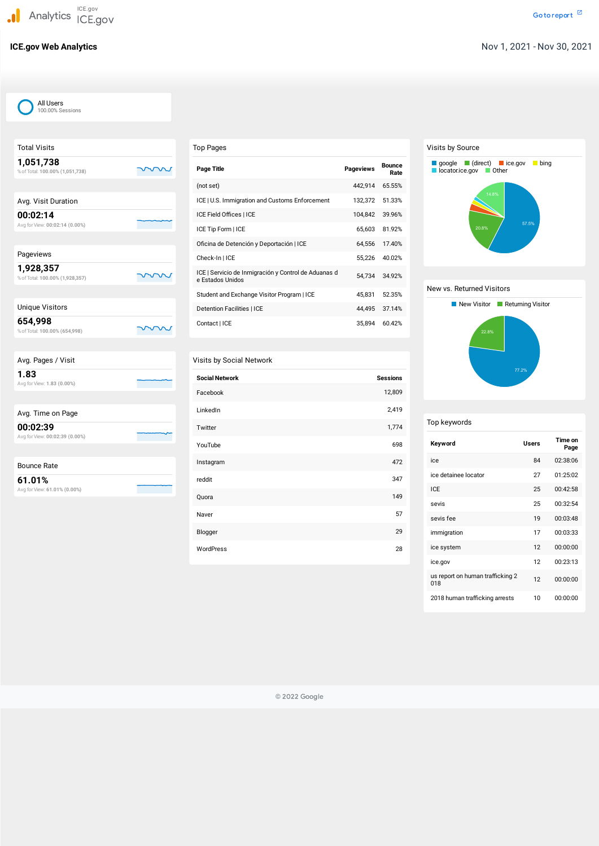| <b>Total Visits</b>                          |  |
|----------------------------------------------|--|
| 1,051,738<br>% of Total: 100.00% (1,051,738) |  |
|                                              |  |
| Avg. Visit Duration                          |  |
| 00:02:14<br>Avg for View: 00:02:14 (0.00%)   |  |
|                                              |  |
| Pageviews                                    |  |
| 1,928,357<br>% of Total: 100.00% (1,928,357) |  |
|                                              |  |
| <b>Unique Visitors</b>                       |  |
| 654,998<br>% of Total: 100.00% (654,998)     |  |
|                                              |  |
| Avg. Pages / Visit                           |  |
| 1.83<br>Avg for View: 1.83 (0.00%)           |  |
|                                              |  |
| Avg. Time on Page                            |  |
| 00:02:39<br>Avg for View: 00:02:39 (0.00%)   |  |
|                                              |  |
| <b>Bounce Rate</b>                           |  |
|                                              |  |

# Top Pages

| <b>Page Title</b>                                                        | <b>Pageviews</b> | <b>Bounce</b><br>Rate |
|--------------------------------------------------------------------------|------------------|-----------------------|
| (not set)                                                                | 442,914          | 65.55%                |
| ICE   U.S. Immigration and Customs Enforcement                           | 132,372          | 51.33%                |
| ICE Field Offices   ICE                                                  | 104,842          | 39.96%                |
| ICE Tip Form   ICE                                                       | 65,603           | 81.92%                |
| Oficina de Detención y Deportación   ICE                                 | 64,556           | 17.40%                |
| Check-In   ICE                                                           | 55,226           | 40.02%                |
| ICE   Servicio de Inmigración y Control de Aduanas d<br>e Estados Unidos | 54,734           | 34.92%                |
| Student and Exchange Visitor Program   ICE                               | 45,831           | 52.35%                |
| Detention Facilities   ICE                                               | 44,495           | 37.14%                |
| Contact   ICE                                                            | 35,894           | 60.42%                |

#### Visits by Social Network

| <b>Social Network</b> | <b>Sessions</b> |
|-----------------------|-----------------|
| Facebook              | 12,809          |
| LinkedIn              | 2,419           |
| Twitter               | 1,774           |
| YouTube               | 698             |
| Instagram             | 472             |
| reddit                | 347             |
| Quora                 | 149             |
| Naver                 | 57              |
| Blogger               | 29              |
| WordPress             | 28              |

# Visits by Source

# New vs. Returned Visitors

# Top keywords

| Keyword                                 | <b>Users</b> | Time on<br>Page |
|-----------------------------------------|--------------|-----------------|
| ice                                     | 84           | 02:38:06        |
| ice detainee locator                    | 27           | 01:25:02        |
| <b>ICE</b>                              | 25           | 00:42:58        |
| sevis                                   | 25           | 00:32:54        |
| sevis fee                               | 19           | 00:03:48        |
| immigration                             | 17           | 00:03:33        |
| ice system                              | 12           | 00:00:00        |
| ice.gov                                 | 12           | 00:23:13        |
| us report on human trafficking 2<br>018 | 12           | 00:00:00        |
| 2018 human trafficking arrests          | 10           | 00:00:00        |





© 2022 Google

| All Users        |
|------------------|
| 100.00% Sessions |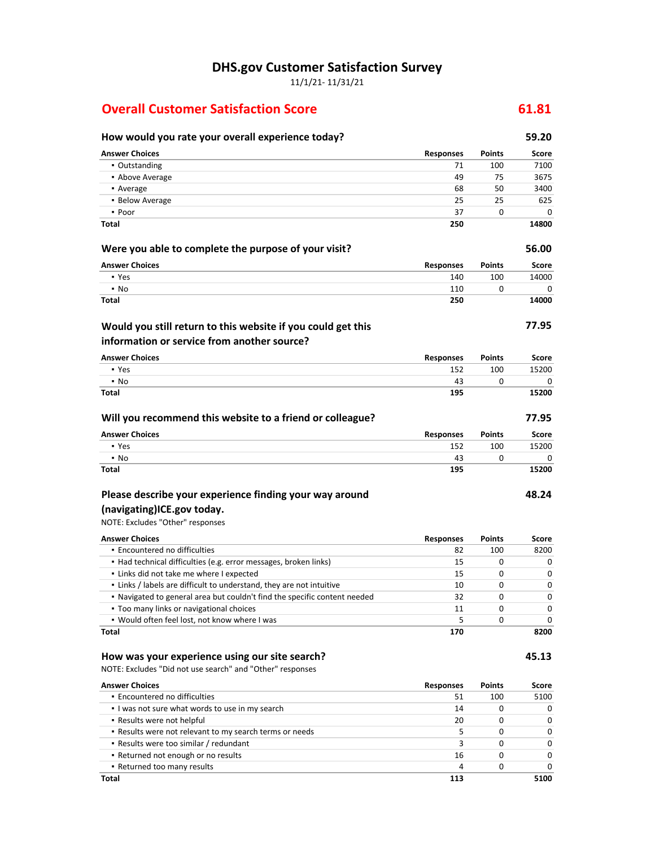**DHS.gov Customer Satisfaction Survey**

11/1/21- 11/31/21

#### **Overall Customer Satisfaction Score 61.81**

| How would you rate your overall experience today?                             |                  |               | 59.20        |
|-------------------------------------------------------------------------------|------------------|---------------|--------------|
| <b>Answer Choices</b>                                                         | Responses        | <b>Points</b> | Score        |
| • Outstanding                                                                 | 71               | 100           | 7100         |
| • Above Average                                                               | 49               | 75            | 3675         |
| • Average                                                                     | 68               | 50            | 3400         |
| • Below Average                                                               | 25               | 25            | 625          |
| • Poor                                                                        | 37               | 0             | 0            |
| Total                                                                         | 250              |               | 14800        |
| Were you able to complete the purpose of your visit?                          |                  |               | 56.00        |
| <b>Answer Choices</b>                                                         | <b>Responses</b> | <b>Points</b> | <b>Score</b> |
| • Yes                                                                         | 140              | 100           | 14000        |
| • No                                                                          | 110              | 0             | 0            |
| <b>Total</b>                                                                  | 250              |               | 14000        |
| Would you still return to this website if you could get this                  |                  |               | 77.95        |
| information or service from another source?                                   |                  |               |              |
| <b>Answer Choices</b>                                                         | Responses        | <b>Points</b> | Score        |
| • Yes                                                                         | 152              | 100           | 15200        |
| $\cdot$ No                                                                    | 43               | 0             | 0            |
| Total                                                                         | 195              |               | 15200        |
| Will you recommend this website to a friend or colleague?                     |                  |               | 77.95        |
| <b>Answer Choices</b>                                                         | <b>Responses</b> | <b>Points</b> | Score        |
| • Yes                                                                         | 152              | 100           | 15200        |
| $\cdot$ No                                                                    | 43               | 0             | 0            |
| Total                                                                         | 195              |               | 15200        |
| Please describe your experience finding your way around                       |                  |               | 48.24        |
| (navigating)ICE.gov today.                                                    |                  |               |              |
| NOTE: Excludes "Other" responses                                              |                  |               |              |
| <b>Answer Choices</b>                                                         | <b>Responses</b> | <b>Points</b> | Score        |
| · Encountered no difficulties                                                 | 82               | 100           | 8200         |
| • Had technical difficulties (e.g. error messages, broken links)              | 15               | 0             | 0            |
| . Links did not take me where I expected                                      | 15               | 0             | 0            |
| . Links / labels are difficult to understand, they are not intuitive          | 10               | 0             | 0            |
| . Navigated to general area but couldn't find the specific content needed     | 32               | 0             | 0            |
| . Too many links or navigational choices                                      | 11               | 0             | 0            |
| . Would often feel lost, not know where I was                                 | 5                | 0             | 0            |
| <b>Total</b>                                                                  | 170              |               | 8200         |
| How was your experience using our site search?                                |                  |               | 45.13        |
| NOTE: Excludes "Did not use search" and "Other" responses                     |                  |               |              |
| <b>Answer Choices</b>                                                         | <b>Responses</b> | <b>Points</b> | <b>Score</b> |
| · Encountered no difficulties                                                 | 51               | 100           | 5100         |
| I was not sure what words to use in my search                                 | 14               | 0             | 0            |
| • Results were not helpful                                                    | 20               | 0             | 0            |
| . Results were not relevant to my search terms or needs                       | 5                | 0             | 0            |
| • Results were too similar / redundant<br>• Returned not enough or no results | 3<br>16          | 0<br>0        | 0<br>0       |
| - Returned too many results                                                   | 4                | 0             | 0            |